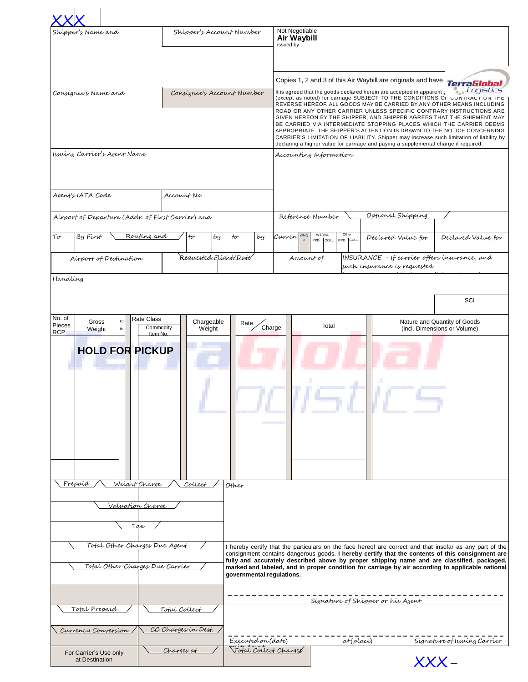| Shipper's Account Number<br>Shipper's Name and                                                                                                         |                                                          |                                                                                                                                                                                                                                                                                                                                                                                                                                             | Not Negotiable<br>Air Waybill<br>issued by                                                                                                                                                                                                                                                                                                                                                                                                                                                                                                                                                                                               |                                                                                                               |                                                              |                                                              |  |
|--------------------------------------------------------------------------------------------------------------------------------------------------------|----------------------------------------------------------|---------------------------------------------------------------------------------------------------------------------------------------------------------------------------------------------------------------------------------------------------------------------------------------------------------------------------------------------------------------------------------------------------------------------------------------------|------------------------------------------------------------------------------------------------------------------------------------------------------------------------------------------------------------------------------------------------------------------------------------------------------------------------------------------------------------------------------------------------------------------------------------------------------------------------------------------------------------------------------------------------------------------------------------------------------------------------------------------|---------------------------------------------------------------------------------------------------------------|--------------------------------------------------------------|--------------------------------------------------------------|--|
|                                                                                                                                                        |                                                          |                                                                                                                                                                                                                                                                                                                                                                                                                                             |                                                                                                                                                                                                                                                                                                                                                                                                                                                                                                                                                                                                                                          |                                                                                                               | Copies 1, 2 and 3 of this Air Waybill are originals and have | <b>TerraGlobal</b>                                           |  |
| Consignee's Name and<br>Consignee's Account Number                                                                                                     |                                                          |                                                                                                                                                                                                                                                                                                                                                                                                                                             | Logistics<br>It is agreed that the goods declared herein are accepted in apparent of<br>(except as noted) for carriage SUBJECT TO THE CONDITIONS Or CONTRACT ON THE<br>REVERSE HEREOF. ALL GOODS MAY BE CARRIED BY ANY OTHER MEANS INCLUDING<br>ROAD OR ANY OTHER CARRIER UNLESS SPECIFIC CONTRARY INSTRUCTIONS ARE<br>GIVEN HEREON BY THE SHIPPER, AND SHIPPER AGREES THAT THE SHIPMENT MAY<br>BE CARRIED VIA INTERMEDIATE STOPPING PLACES WHICH THE CARRIER DEEMS<br>APPROPRIATE. THE SHIPPER'S ATTENTION IS DRAWN TO THE NOTICE CONCERNING<br>CARRIER'S LIMITATION OF LIABILITY. Shipper may increase such limitation of liability by |                                                                                                               |                                                              |                                                              |  |
| Issuing Carrier's Agent Name                                                                                                                           |                                                          |                                                                                                                                                                                                                                                                                                                                                                                                                                             |                                                                                                                                                                                                                                                                                                                                                                                                                                                                                                                                                                                                                                          | declaring a higher value for carriage and paying a supplemental charge if required.<br>Accounting Information |                                                              |                                                              |  |
| Agent's IATA Code                                                                                                                                      | Account No.                                              |                                                                                                                                                                                                                                                                                                                                                                                                                                             |                                                                                                                                                                                                                                                                                                                                                                                                                                                                                                                                                                                                                                          |                                                                                                               |                                                              |                                                              |  |
| Airport of Departure (Addr. of First Carrier) and                                                                                                      |                                                          |                                                                                                                                                                                                                                                                                                                                                                                                                                             | Reference Number                                                                                                                                                                                                                                                                                                                                                                                                                                                                                                                                                                                                                         |                                                                                                               | Optional Shipping                                            |                                                              |  |
| Routing and<br>By First<br>Тσ                                                                                                                          | $\mathfrak{t}\sigma$<br>by                               | to<br>by                                                                                                                                                                                                                                                                                                                                                                                                                                    | CHG<br>Curren                                                                                                                                                                                                                                                                                                                                                                                                                                                                                                                                                                                                                            | Other<br><b>WT/VAL</b><br>PPD COLL PPD COLL                                                                   | Declared Value for                                           | Declared Value for                                           |  |
| Requested Flight/Date<br>Airport of Destination                                                                                                        |                                                          |                                                                                                                                                                                                                                                                                                                                                                                                                                             | INSURANCE - If carrier offers insurance, and<br>Amount of<br>such insurance is requested                                                                                                                                                                                                                                                                                                                                                                                                                                                                                                                                                 |                                                                                                               |                                                              |                                                              |  |
| Handling                                                                                                                                               |                                                          |                                                                                                                                                                                                                                                                                                                                                                                                                                             |                                                                                                                                                                                                                                                                                                                                                                                                                                                                                                                                                                                                                                          |                                                                                                               |                                                              | SCI                                                          |  |
| No. of<br>Rate Class<br>Gross<br>kg<br>Pieces<br>Weight<br><b>RCP</b><br><b>HOLD FOR PICKUP</b><br>Prepaid<br>Weight Charge<br>Valuation Charge<br>Tax | Chargeable<br>Commodity<br>Weight<br>Item No.<br>Collect | Rate<br>Other                                                                                                                                                                                                                                                                                                                                                                                                                               | Charge                                                                                                                                                                                                                                                                                                                                                                                                                                                                                                                                                                                                                                   | Total                                                                                                         |                                                              | Nature and Quantity of Goods<br>(incl. Dimensions or Volume) |  |
| Total Other Charges Due Agent<br>Total Other Charges Due Carrier                                                                                       |                                                          | I hereby certify that the particulars on the face hereof are correct and that insofar as any part of the<br>consignment contains dangerous goods. I hereby certify that the contents of this consignment are<br>fully and accurately described above by proper shipping name and are classified, packaged,<br>marked and labeled, and in proper condition for carriage by air according to applicable national<br>governmental regulations. |                                                                                                                                                                                                                                                                                                                                                                                                                                                                                                                                                                                                                                          |                                                                                                               |                                                              |                                                              |  |
| Total Prepaid<br>Total Collect                                                                                                                         |                                                          | Signature of Shipper or his Agent                                                                                                                                                                                                                                                                                                                                                                                                           |                                                                                                                                                                                                                                                                                                                                                                                                                                                                                                                                                                                                                                          |                                                                                                               |                                                              |                                                              |  |
| Currency Conversion                                                                                                                                    | CC Charges in Dest.                                      | Executed on (date)                                                                                                                                                                                                                                                                                                                                                                                                                          |                                                                                                                                                                                                                                                                                                                                                                                                                                                                                                                                                                                                                                          |                                                                                                               |                                                              |                                                              |  |
| Charges at<br>For Carrier's Use only<br>at Destination                                                                                                 |                                                          | Total Collect Charges                                                                                                                                                                                                                                                                                                                                                                                                                       |                                                                                                                                                                                                                                                                                                                                                                                                                                                                                                                                                                                                                                          | at(place)<br>Signature of Issuing Carrier<br>$XXX-$                                                           |                                                              |                                                              |  |